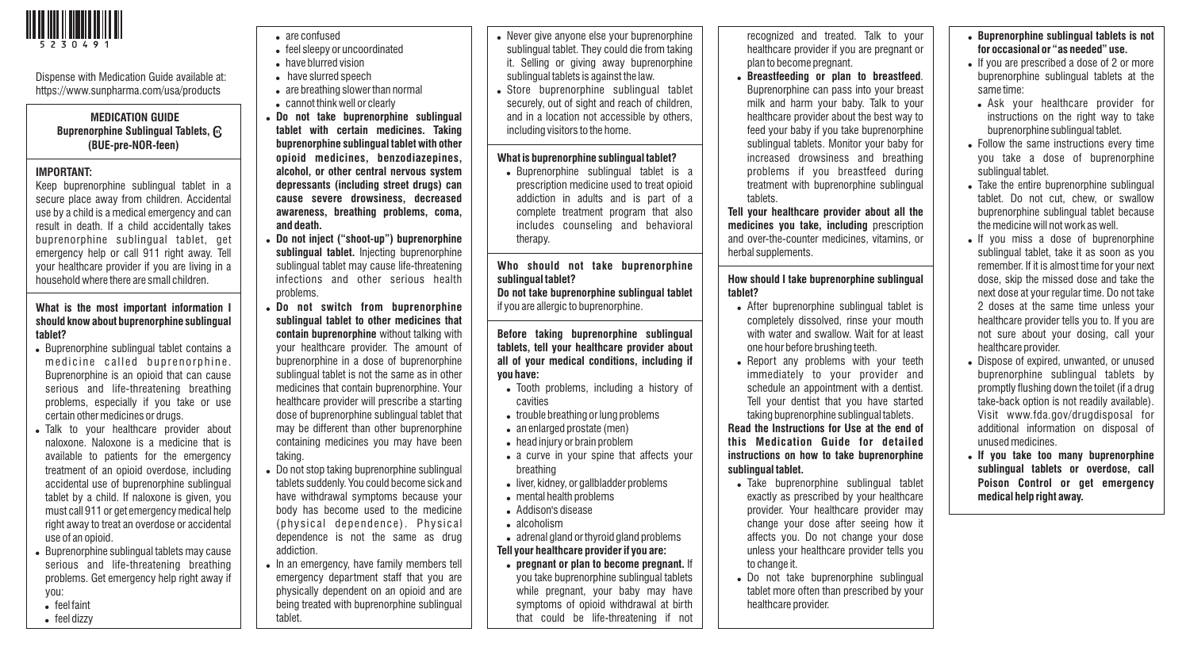

Dispense with Medication Guide available at: https://www.sunpharma.com/usa/products

## **MEDICATION GUIDE Buprenorphine Sublingual Tablets, (BUE-pre-NOR-feen)**

#### **IMPORTANT:**

Keep buprenorphine sublingual tablet in a secure place away from children. Accidental use by a child is a medical emergency and can result in death. If a child accidentally takes buprenorphine sublingual tablet, get emergency help or call 911 right away. Tell your healthcare provider if you are living in a household where there are small children.

## **What is the most important information I should know about buprenorphine sublingual tablet?**

- Buprenorphine sublingual tablet contains a medicine called buprenorphine. Buprenorphine is an opioid that can cause serious and life-threatening breathing problems, especially if you take or use certain other medicines or drugs.
- . Talk to your healthcare provider about naloxone. Naloxone is a medicine that is available to patients for the emergency treatment of an opioid overdose, including accidental use of buprenorphine sublingual tablet by a child. If naloxone is given, you must call 911 or get emergency medical help right away to treat an overdose or accidental use of an opioid.
- Buprenorphine sublingual tablets may cause serious and life-threatening breathing problems. Get emergency help right away if you:
- $\bullet$  feel faint
- $\bullet$  feel dizzy
- are confused
- feel sleepy or uncoordinated
- . have blurred vision
- . have slurred speech
- are breathing slower than normal
- . cannot think well or clearly
- ! **Do not take buprenorphine sublingual tablet with certain medicines. Taking buprenorphine sublingual tablet with other opioid medicines, benzodiazepines, alcohol, or other central nervous system depressants (including street drugs) can cause severe drowsiness, decreased awareness, breathing problems, coma, and death.**
- ! **Do not inject ("shoot-up") buprenorphine sublingual tablet.** Injecting buprenorphine sublingual tablet may cause life-threatening infections and other serious health problems.
- ! **Do not switch from buprenorphine sublingual tablet to other medicines that contain buprenorphine** without talking with your healthcare provider. The amount of buprenorphine in a dose of buprenorphine sublingual tablet is not the same as in other medicines that contain buprenorphine. Your healthcare provider will prescribe a starting dose of buprenorphine sublingual tablet that may be different than other buprenorphine containing medicines you may have been taking.
- . Do not stop taking buprenorphine sublingual tablets suddenly. You could become sick and have withdrawal symptoms because your body has become used to the medicine (physical dependence). Physical dependence is not the same as drug addiction.
- In an emergency, have family members tell emergency department staff that you are physically dependent on an opioid and are being treated with buprenorphine sublingual tablet.
- . Never give anyone else your buprenorphine sublingual tablet. They could die from taking it. Selling or giving away buprenorphine sublingual tablets is against the law.
- . Store buprenorphine sublingual tablet securely, out of sight and reach of children, and in a location not accessible by others, including visitors to the home.

### **What is buprenorphine sublingual tablet?**

• Buprenorphine sublingual tablet is a prescription medicine used to treat opioid addiction in adults and is part of a complete treatment program that also includes counseling and behavioral therapy.

**Who should not take buprenorphine sublingual tablet? Do not take buprenorphine sublingual tablet** if you are allergic to buprenorphine.

**Before taking buprenorphine sublingual tablets, tell your healthcare provider about all of your medical conditions, including if you have:** 

- . Tooth problems, including a history of cavities
- trouble breathing or lung problems
- an enlarged prostate (men)
- . head injury or brain problem
- a curve in your spine that affects your breathing
- liver, kidney, or gallbladder problems
- . mental health problems
- . Addison's disease
- . alcoholism
- adrenal gland or thyroid gland problems **Tell your healthcare provider if you are:**
- ! **pregnant or plan to become pregnant.** If you take buprenorphine sublingual tablets while pregnant, your baby may have symptoms of opioid withdrawal at birth that could be life-threatening if not

recognized and treated. Talk to your healthcare provider if you are pregnant or plan to become pregnant.

! **Breastfeeding or plan to breastfeed**. Buprenorphine can pass into your breast milk and harm your baby. Talk to your healthcare provider about the best way to feed your baby if you take buprenorphine sublingual tablets. Monitor your baby for increased drowsiness and breathing problems if you breastfeed during treatment with buprenorphine sublingual tablets.

**Tell your healthcare provider about all the medicines you take, including** prescription and over-the-counter medicines, vitamins, or herbal supplements.

# **How should I take buprenorphine sublingual tablet?**

- . After buprenorphine sublingual tablet is completely dissolved, rinse your mouth with water and swallow. Wait for at least one hour before brushing teeth.
- . Report any problems with your teeth immediately to your provider and schedule an appointment with a dentist. Tell your dentist that you have started taking buprenorphine sublingual tablets.

**Read the Instructions for Use at the end of this Medication Guide for detailed instructions on how to take buprenorphine sublingual tablet.**

- . Take buprenorphine sublingual tablet exactly as prescribed by your healthcare provider. Your healthcare provider may change your dose after seeing how it affects you. Do not change your dose unless your healthcare provider tells you to change it.
- . Do not take buprenorphine sublingual tablet more often than prescribed by your healthcare provider.

# ! **Buprenorphine sublingual tablets is not for occasional or "as needed" use.**

- . If you are prescribed a dose of 2 or more buprenorphine sublingual tablets at the same time:
- . Ask your healthcare provider for instructions on the right way to take buprenorphine sublingual tablet.
- . Follow the same instructions every time you take a dose of buprenorphine sublingual tablet.
- . Take the entire buprenorphine sublingual tablet. Do not cut, chew, or swallow buprenorphine sublingual tablet because the medicine will not work as well.
- . If you miss a dose of buprenorphine sublingual tablet, take it as soon as you remember. If it is almost time for your next dose, skip the missed dose and take the next dose at your regular time. Do not take 2 doses at the same time unless your healthcare provider tells you to. If you are not sure about your dosing, call your healthcare provider.
- . Dispose of expired, unwanted, or unused buprenorphine sublingual tablets by promptly flushing down the toilet (if a drug take-back option is not readily available). Visit www.fda.gov/drugdisposal for additional information on disposal of unused medicines.
- ! **If you take too many buprenorphine sublingual tablets or overdose, call Poison Control or get emergency medical help right away.**